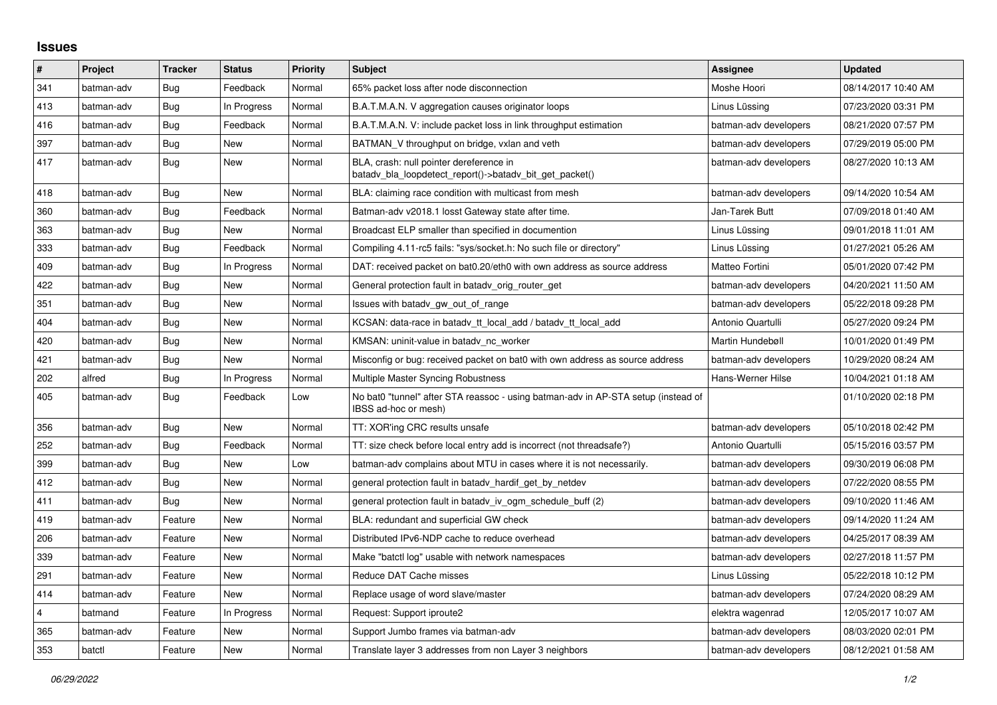## **Issues**

| $\vert$ # | Project    | <b>Tracker</b> | <b>Status</b> | <b>Priority</b> | <b>Subject</b>                                                                                            | Assignee              | <b>Updated</b>      |
|-----------|------------|----------------|---------------|-----------------|-----------------------------------------------------------------------------------------------------------|-----------------------|---------------------|
| 341       | batman-adv | Bug            | Feedback      | Normal          | 65% packet loss after node disconnection                                                                  | Moshe Hoori           | 08/14/2017 10:40 AM |
| 413       | batman-adv | Bug            | In Progress   | Normal          | B.A.T.M.A.N. V aggregation causes originator loops                                                        | Linus Lüssing         | 07/23/2020 03:31 PM |
| 416       | batman-adv | Bug            | Feedback      | Normal          | B.A.T.M.A.N. V: include packet loss in link throughput estimation                                         | batman-adv developers | 08/21/2020 07:57 PM |
| 397       | batman-adv | Bug            | New           | Normal          | BATMAN_V throughput on bridge, vxlan and veth                                                             | batman-adv developers | 07/29/2019 05:00 PM |
| 417       | batman-adv | Bug            | <b>New</b>    | Normal          | BLA, crash: null pointer dereference in<br>batady bla loopdetect report()->batady bit get packet()        | batman-adv developers | 08/27/2020 10:13 AM |
| 418       | batman-adv | Bug            | <b>New</b>    | Normal          | BLA: claiming race condition with multicast from mesh                                                     | batman-adv developers | 09/14/2020 10:54 AM |
| 360       | batman-adv | Bug            | Feedback      | Normal          | Batman-adv v2018.1 losst Gateway state after time.                                                        | Jan-Tarek Butt        | 07/09/2018 01:40 AM |
| 363       | batman-adv | Bug            | New           | Normal          | Broadcast ELP smaller than specified in documention                                                       | Linus Lüssing         | 09/01/2018 11:01 AM |
| 333       | batman-adv | Bug            | Feedback      | Normal          | Compiling 4.11-rc5 fails: "sys/socket.h: No such file or directory"                                       | Linus Lüssing         | 01/27/2021 05:26 AM |
| 409       | batman-adv | Bug            | In Progress   | Normal          | DAT: received packet on bat0.20/eth0 with own address as source address                                   | Matteo Fortini        | 05/01/2020 07:42 PM |
| 422       | batman-adv | Bug            | New           | Normal          | General protection fault in batady orig router get                                                        | batman-adv developers | 04/20/2021 11:50 AM |
| 351       | batman-adv | Bug            | <b>New</b>    | Normal          | Issues with batady gw_out_of_range                                                                        | batman-adv developers | 05/22/2018 09:28 PM |
| 404       | batman-adv | Bug            | New           | Normal          | KCSAN: data-race in batady tt local add / batady tt local add                                             | Antonio Quartulli     | 05/27/2020 09:24 PM |
| 420       | batman-adv | Bug            | New           | Normal          | KMSAN: uninit-value in batady nc worker                                                                   | Martin Hundebøll      | 10/01/2020 01:49 PM |
| 421       | batman-adv | Bug            | <b>New</b>    | Normal          | Misconfig or bug: received packet on bat0 with own address as source address                              | batman-adv developers | 10/29/2020 08:24 AM |
| 202       | alfred     | Bug            | In Progress   | Normal          | Multiple Master Syncing Robustness                                                                        | Hans-Werner Hilse     | 10/04/2021 01:18 AM |
| 405       | batman-adv | Bug            | Feedback      | Low             | No bat0 "tunnel" after STA reassoc - using batman-adv in AP-STA setup (instead of<br>IBSS ad-hoc or mesh) |                       | 01/10/2020 02:18 PM |
| 356       | batman-adv | Bug            | <b>New</b>    | Normal          | TT: XOR'ing CRC results unsafe                                                                            | batman-adv developers | 05/10/2018 02:42 PM |
| 252       | batman-adv | Bug            | Feedback      | Normal          | TT: size check before local entry add is incorrect (not threadsafe?)                                      | Antonio Quartulli     | 05/15/2016 03:57 PM |
| 399       | batman-adv | <b>Bug</b>     | New           | Low             | batman-adv complains about MTU in cases where it is not necessarily.                                      | batman-adv developers | 09/30/2019 06:08 PM |
| 412       | batman-adv | Bug            | New           | Normal          | general protection fault in batady hardif get by netdev                                                   | batman-adv developers | 07/22/2020 08:55 PM |
| 411       | batman-adv | Bug            | New           | Normal          | general protection fault in batady iv ogm_schedule_buff (2)                                               | batman-adv developers | 09/10/2020 11:46 AM |
| 419       | batman-adv | Feature        | <b>New</b>    | Normal          | BLA: redundant and superficial GW check                                                                   | batman-adv developers | 09/14/2020 11:24 AM |
| 206       | batman-adv | Feature        | New           | Normal          | Distributed IPv6-NDP cache to reduce overhead                                                             | batman-adv developers | 04/25/2017 08:39 AM |
| 339       | batman-adv | Feature        | New           | Normal          | Make "batctl log" usable with network namespaces                                                          | batman-adv developers | 02/27/2018 11:57 PM |
| 291       | batman-adv | Feature        | <b>New</b>    | Normal          | Reduce DAT Cache misses                                                                                   | Linus Lüssing         | 05/22/2018 10:12 PM |
| 414       | batman-adv | Feature        | New           | Normal          | Replace usage of word slave/master                                                                        | batman-adv developers | 07/24/2020 08:29 AM |
| 4         | batmand    | Feature        | In Progress   | Normal          | Request: Support iproute2                                                                                 | elektra wagenrad      | 12/05/2017 10:07 AM |
| 365       | batman-adv | Feature        | New           | Normal          | Support Jumbo frames via batman-adv                                                                       | batman-adv developers | 08/03/2020 02:01 PM |
| 353       | batctl     | Feature        | New           | Normal          | Translate layer 3 addresses from non Layer 3 neighbors                                                    | batman-adv developers | 08/12/2021 01:58 AM |